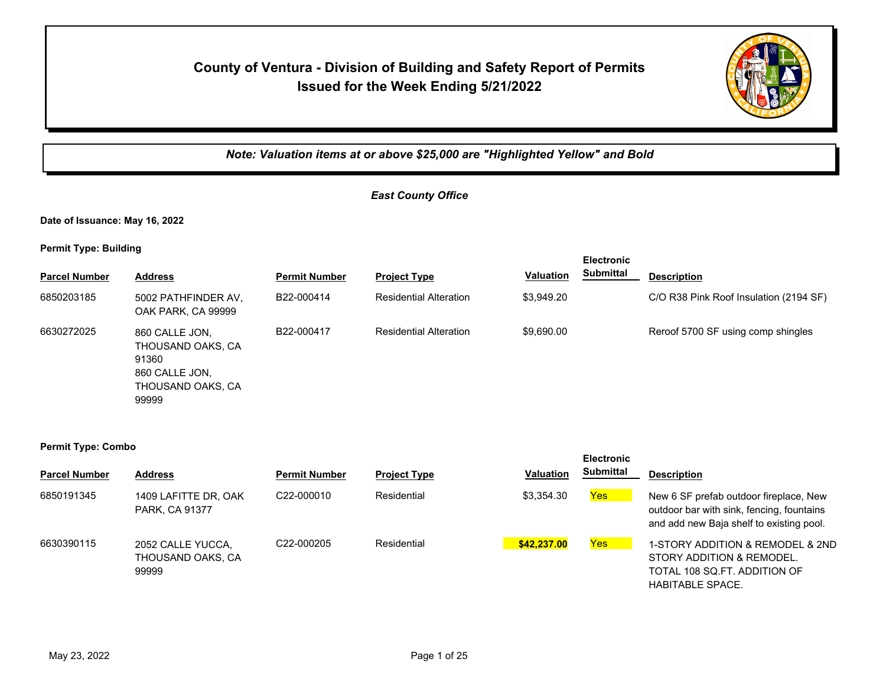# **County of Ventura - Division of Building and Safety Report of Permits Issued for the Week Ending 5/21/2022**



*Note: Valuation items at or above \$25,000 are "Highlighted Yellow" and Bold*

**Electronic** 

#### *East County Office*

**Date of Issuance: May 16, 2022**

**Permit Type: Building**

|                      |                                                                                              |                      |                               |                  | <b>Electronic</b> |                                        |
|----------------------|----------------------------------------------------------------------------------------------|----------------------|-------------------------------|------------------|-------------------|----------------------------------------|
| <b>Parcel Number</b> | <b>Address</b>                                                                               | <b>Permit Number</b> | <b>Project Type</b>           | <b>Valuation</b> | <b>Submittal</b>  | <b>Description</b>                     |
| 6850203185           | 5002 PATHFINDER AV,<br>OAK PARK, CA 99999                                                    | B22-000414           | <b>Residential Alteration</b> | \$3,949.20       |                   | C/O R38 Pink Roof Insulation (2194 SF) |
| 6630272025           | 860 CALLE JON.<br>THOUSAND OAKS, CA<br>91360<br>860 CALLE JON.<br>THOUSAND OAKS, CA<br>99999 | B22-000417           | <b>Residential Alteration</b> | \$9,690.00       |                   | Reroof 5700 SF using comp shingles     |

|                      |                                                 |                      |                     |                  | <b>Electronic</b> |                                                                                                                                 |
|----------------------|-------------------------------------------------|----------------------|---------------------|------------------|-------------------|---------------------------------------------------------------------------------------------------------------------------------|
| <b>Parcel Number</b> | <b>Address</b>                                  | <b>Permit Number</b> | <b>Project Type</b> | <b>Valuation</b> | <b>Submittal</b>  | <b>Description</b>                                                                                                              |
| 6850191345           | 1409 LAFITTE DR, OAK<br>PARK, CA 91377          | C22-000010           | Residential         | \$3,354.30       | Yes               | New 6 SF prefab outdoor fireplace, New<br>outdoor bar with sink, fencing, fountains<br>and add new Baja shelf to existing pool. |
| 6630390115           | 2052 CALLE YUCCA,<br>THOUSAND OAKS. CA<br>99999 | C22-000205           | Residential         | \$42,237.00      | <b>Yes</b>        | 1-STORY ADDITION & REMODEL & 2ND<br>STORY ADDITION & REMODEL.<br>TOTAL 108 SQ.FT. ADDITION OF<br><b>HABITABLE SPACE.</b>        |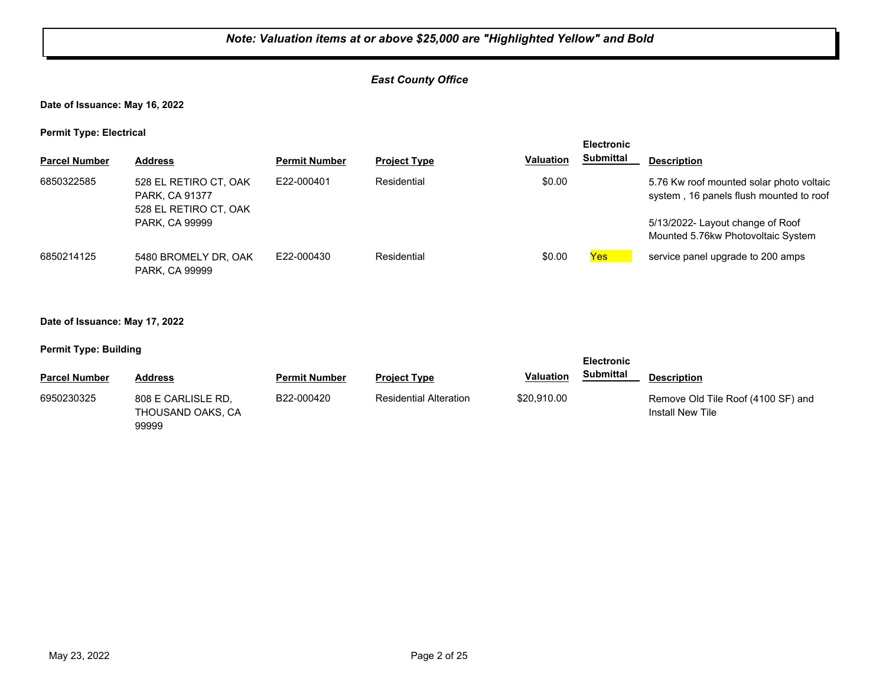#### *East County Office*

**Date of Issuance: May 16, 2022**

**Permit Type: Electrical**

| . .                  |                                                                  |                      |                     |                  | <b>Electronic</b> |                                                                                     |
|----------------------|------------------------------------------------------------------|----------------------|---------------------|------------------|-------------------|-------------------------------------------------------------------------------------|
| <b>Parcel Number</b> | <b>Address</b>                                                   | <b>Permit Number</b> | <b>Project Type</b> | <b>Valuation</b> | <b>Submittal</b>  | <b>Description</b>                                                                  |
| 6850322585           | 528 EL RETIRO CT, OAK<br>PARK, CA 91377<br>528 EL RETIRO CT, OAK | E22-000401           | Residential         | \$0.00           |                   | 5.76 Kw roof mounted solar photo voltaic<br>system, 16 panels flush mounted to roof |
|                      | PARK, CA 99999                                                   |                      |                     |                  |                   | 5/13/2022- Layout change of Roof<br>Mounted 5.76kw Photovoltaic System              |
| 6850214125           | 5480 BROMELY DR. OAK<br>PARK, CA 99999                           | E22-000430           | Residential         | \$0.00           | <b>Yes</b>        | service panel upgrade to 200 amps                                                   |

#### **Date of Issuance: May 17, 2022**

| . .                  |                                                  |                      |                               |                  | <b>Electronic</b> |                                                               |
|----------------------|--------------------------------------------------|----------------------|-------------------------------|------------------|-------------------|---------------------------------------------------------------|
| <b>Parcel Number</b> | <b>Address</b>                                   | <b>Permit Number</b> | <b>Project Type</b>           | <b>Valuation</b> | <b>Submittal</b>  | <b>Description</b>                                            |
| 6950230325           | 808 E CARLISLE RD.<br>THOUSAND OAKS, CA<br>99999 | B22-000420           | <b>Residential Alteration</b> | \$20,910.00      |                   | Remove Old Tile Roof (4100 SF) and<br><b>Install New Tile</b> |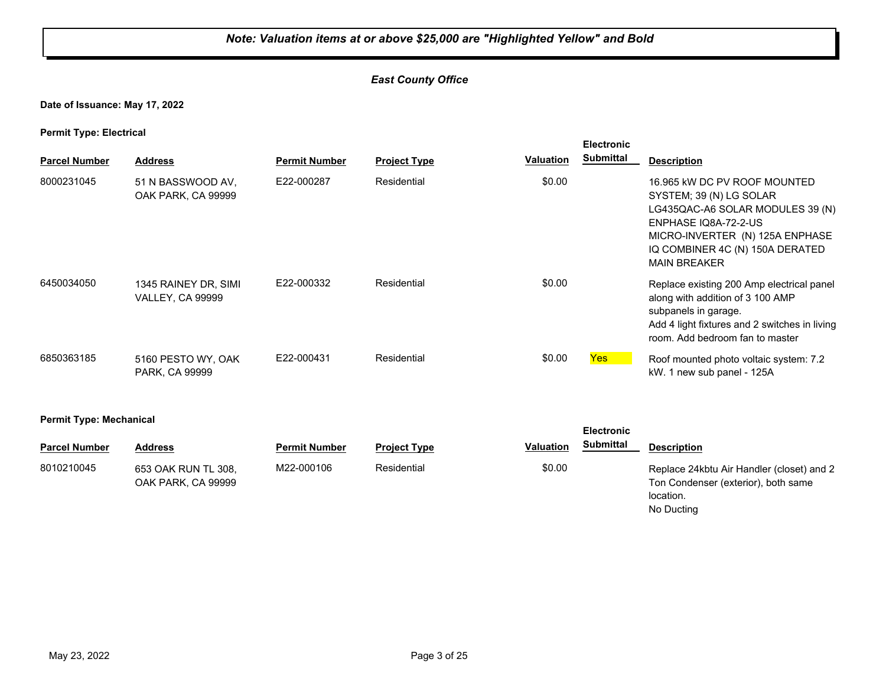#### *East County Office*

#### **Date of Issuance: May 17, 2022**

**Permit Type: Electrical**

| <b>Parcel Number</b> | <b>Address</b>                                  | <b>Permit Number</b> | <b>Project Type</b> | Valuation | <b>Electronic</b><br><b>Submittal</b> | <b>Description</b>                                                                                                                                                                                               |
|----------------------|-------------------------------------------------|----------------------|---------------------|-----------|---------------------------------------|------------------------------------------------------------------------------------------------------------------------------------------------------------------------------------------------------------------|
| 8000231045           | 51 N BASSWOOD AV,<br>OAK PARK, CA 99999         | E22-000287           | Residential         | \$0.00    |                                       | 16.965 kW DC PV ROOF MOUNTED<br>SYSTEM; 39 (N) LG SOLAR<br>LG435QAC-A6 SOLAR MODULES 39 (N)<br>ENPHASE IQ8A-72-2-US<br>MICRO-INVERTER (N) 125A ENPHASE<br>IQ COMBINER 4C (N) 150A DERATED<br><b>MAIN BREAKER</b> |
| 6450034050           | 1345 RAINEY DR, SIMI<br><b>VALLEY, CA 99999</b> | E22-000332           | Residential         | \$0.00    |                                       | Replace existing 200 Amp electrical panel<br>along with addition of 3 100 AMP<br>subpanels in garage.<br>Add 4 light fixtures and 2 switches in living<br>room. Add bedroom fan to master                        |
| 6850363185           | 5160 PESTO WY, OAK<br>PARK, CA 99999            | E22-000431           | Residential         | \$0.00    | Yes                                   | Roof mounted photo voltaic system: 7.2<br>kW. 1 new sub panel - 125A                                                                                                                                             |

**Permit Type: Mechanical**

| <b>Parcel Number</b> | Address                                   | <b>Permit Number</b> | <b>Project Type</b> | <b>Valuation</b> | <b>Submittal</b> | <b>Description</b>                                                                            |
|----------------------|-------------------------------------------|----------------------|---------------------|------------------|------------------|-----------------------------------------------------------------------------------------------|
| 8010210045           | 653 OAK RUN TL 308.<br>OAK PARK, CA 99999 | M22-000106           | Residential         | \$0.00           |                  | Replace 24kbtu Air Handler (closet) and 2<br>Ton Condenser (exterior), both same<br>location. |

No Ducting

**Electronic**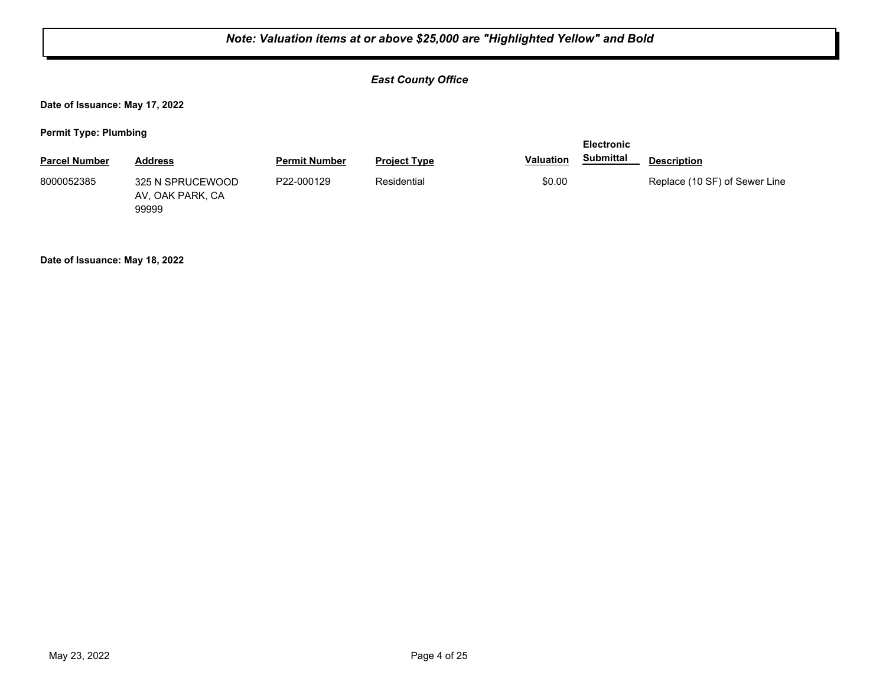#### *East County Office*

**Date of Issuance: May 17, 2022**

**Permit Type: Plumbing**

|                      |                                      |                      |                     | <b>Electronic</b> |           |                               |  |
|----------------------|--------------------------------------|----------------------|---------------------|-------------------|-----------|-------------------------------|--|
| <b>Parcel Number</b> | <b>Address</b>                       | <b>Permit Number</b> | <b>Project Type</b> | <b>Valuation</b>  | Submittal | <b>Description</b>            |  |
| 8000052385           | 325 N SPRUCEWOOD<br>AV, OAK PARK, CA | P22-000129           | Residential         | \$0.00            |           | Replace (10 SF) of Sewer Line |  |

**Date of Issuance: May 18, 2022**

99999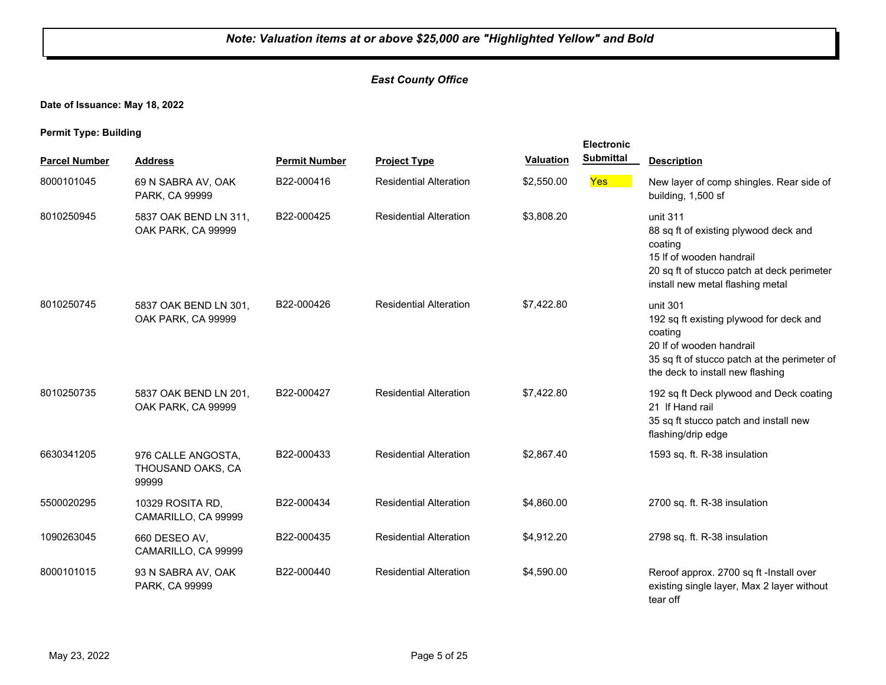#### *East County Office*

**Date of Issuance: May 18, 2022**

|                      |                                                  |                      |                               |                  | Electronic       |                                                                                                                                                                                |
|----------------------|--------------------------------------------------|----------------------|-------------------------------|------------------|------------------|--------------------------------------------------------------------------------------------------------------------------------------------------------------------------------|
| <b>Parcel Number</b> | <b>Address</b>                                   | <b>Permit Number</b> | <b>Project Type</b>           | <b>Valuation</b> | <b>Submittal</b> | <b>Description</b>                                                                                                                                                             |
| 8000101045           | 69 N SABRA AV, OAK<br>PARK, CA 99999             | B22-000416           | <b>Residential Alteration</b> | \$2,550.00       | <b>Yes</b>       | New layer of comp shingles. Rear side of<br>building, 1,500 sf                                                                                                                 |
| 8010250945           | 5837 OAK BEND LN 311,<br>OAK PARK, CA 99999      | B22-000425           | <b>Residential Alteration</b> | \$3,808.20       |                  | unit 311<br>88 sq ft of existing plywood deck and<br>coating<br>15 If of wooden handrail<br>20 sq ft of stucco patch at deck perimeter<br>install new metal flashing metal     |
| 8010250745           | 5837 OAK BEND LN 301,<br>OAK PARK, CA 99999      | B22-000426           | <b>Residential Alteration</b> | \$7,422.80       |                  | unit 301<br>192 sq ft existing plywood for deck and<br>coating<br>20 If of wooden handrail<br>35 sq ft of stucco patch at the perimeter of<br>the deck to install new flashing |
| 8010250735           | 5837 OAK BEND LN 201,<br>OAK PARK, CA 99999      | B22-000427           | <b>Residential Alteration</b> | \$7,422.80       |                  | 192 sq ft Deck plywood and Deck coating<br>21 If Hand rail<br>35 sq ft stucco patch and install new<br>flashing/drip edge                                                      |
| 6630341205           | 976 CALLE ANGOSTA,<br>THOUSAND OAKS, CA<br>99999 | B22-000433           | <b>Residential Alteration</b> | \$2,867.40       |                  | 1593 sq. ft. R-38 insulation                                                                                                                                                   |
| 5500020295           | 10329 ROSITA RD,<br>CAMARILLO, CA 99999          | B22-000434           | <b>Residential Alteration</b> | \$4,860.00       |                  | 2700 sq. ft. R-38 insulation                                                                                                                                                   |
| 1090263045           | 660 DESEO AV,<br>CAMARILLO, CA 99999             | B22-000435           | <b>Residential Alteration</b> | \$4,912.20       |                  | 2798 sq. ft. R-38 insulation                                                                                                                                                   |
| 8000101015           | 93 N SABRA AV, OAK<br>PARK, CA 99999             | B22-000440           | <b>Residential Alteration</b> | \$4,590.00       |                  | Reroof approx. 2700 sq ft -Install over<br>existing single layer, Max 2 layer without<br>tear off                                                                              |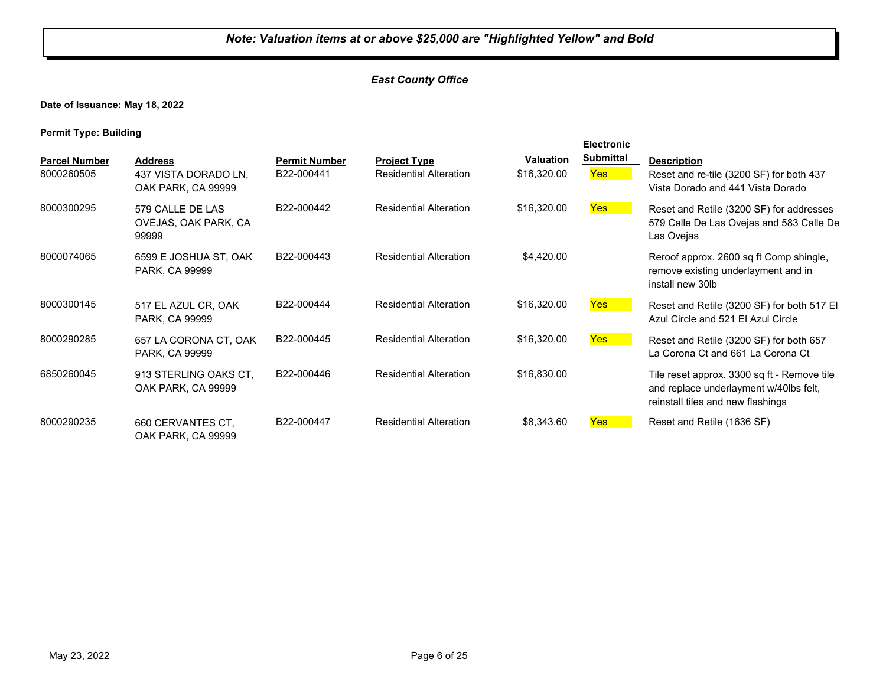#### *East County Office*

**Date of Issuance: May 18, 2022**

|                                    |                                                              |                                    |                                                      |                                 | <b>Electronic</b>       |                                                                                                                            |
|------------------------------------|--------------------------------------------------------------|------------------------------------|------------------------------------------------------|---------------------------------|-------------------------|----------------------------------------------------------------------------------------------------------------------------|
| <b>Parcel Number</b><br>8000260505 | <b>Address</b><br>437 VISTA DORADO LN.<br>OAK PARK, CA 99999 | <b>Permit Number</b><br>B22-000441 | <b>Project Type</b><br><b>Residential Alteration</b> | <b>Valuation</b><br>\$16,320.00 | <b>Submittal</b><br>Yes | <b>Description</b><br>Reset and re-tile (3200 SF) for both 437<br>Vista Dorado and 441 Vista Dorado                        |
| 8000300295                         | 579 CALLE DE LAS<br>OVEJAS, OAK PARK, CA<br>99999            | B22-000442                         | <b>Residential Alteration</b>                        | \$16,320.00                     | Yes                     | Reset and Retile (3200 SF) for addresses<br>579 Calle De Las Ovejas and 583 Calle De<br>Las Ovejas                         |
| 8000074065                         | 6599 E JOSHUA ST, OAK<br>PARK, CA 99999                      | B22-000443                         | <b>Residential Alteration</b>                        | \$4,420.00                      |                         | Reroof approx. 2600 sq ft Comp shingle,<br>remove existing underlayment and in<br>install new 30lb                         |
| 8000300145                         | 517 EL AZUL CR, OAK<br>PARK, CA 99999                        | B22-000444                         | <b>Residential Alteration</b>                        | \$16,320.00                     | Yes:                    | Reset and Retile (3200 SF) for both 517 EI<br>Azul Circle and 521 El Azul Circle                                           |
| 8000290285                         | 657 LA CORONA CT, OAK<br>PARK, CA 99999                      | B22-000445                         | <b>Residential Alteration</b>                        | \$16,320.00                     | Yes                     | Reset and Retile (3200 SF) for both 657<br>La Corona Ct and 661 La Corona Ct                                               |
| 6850260045                         | 913 STERLING OAKS CT.<br>OAK PARK, CA 99999                  | B22-000446                         | <b>Residential Alteration</b>                        | \$16,830.00                     |                         | Tile reset approx. 3300 sq ft - Remove tile<br>and replace underlayment w/40lbs felt,<br>reinstall tiles and new flashings |
| 8000290235                         | 660 CERVANTES CT.<br>OAK PARK, CA 99999                      | B22-000447                         | <b>Residential Alteration</b>                        | \$8,343.60                      | <b>Yes</b>              | Reset and Retile (1636 SF)                                                                                                 |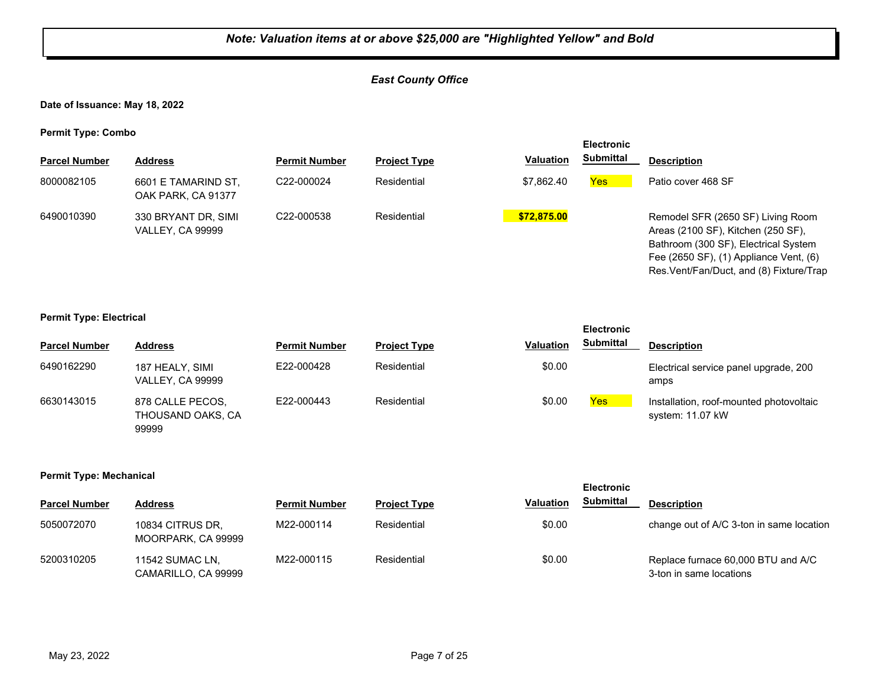#### *East County Office*

**Date of Issuance: May 18, 2022**

**Permit Type: Combo**

| . .                  |                                                |                         |                     |                  | <b>Electronic</b> |                                                                                                                                                                                                       |
|----------------------|------------------------------------------------|-------------------------|---------------------|------------------|-------------------|-------------------------------------------------------------------------------------------------------------------------------------------------------------------------------------------------------|
| <b>Parcel Number</b> | <b>Address</b>                                 | <b>Permit Number</b>    | <b>Project Type</b> | <b>Valuation</b> | <b>Submittal</b>  | <b>Description</b>                                                                                                                                                                                    |
| 8000082105           | 6601 E TAMARIND ST,<br>OAK PARK, CA 91377      | C <sub>22</sub> -000024 | Residential         | \$7.862.40       | <b>Yes</b>        | Patio cover 468 SF                                                                                                                                                                                    |
| 6490010390           | 330 BRYANT DR, SIMI<br><b>VALLEY, CA 99999</b> | C22-000538              | Residential         | \$72,875.00      |                   | Remodel SFR (2650 SF) Living Room<br>Areas (2100 SF), Kitchen (250 SF),<br>Bathroom (300 SF), Electrical System<br>Fee (2650 SF), (1) Appliance Vent, (6)<br>Res. Vent/Fan/Duct, and (8) Fixture/Trap |

#### **Permit Type: Electrical**

|                      |                                                |                      |                     |                  | <b>Electronic</b> |                                                             |
|----------------------|------------------------------------------------|----------------------|---------------------|------------------|-------------------|-------------------------------------------------------------|
| <b>Parcel Number</b> | <b>Address</b>                                 | <b>Permit Number</b> | <b>Project Type</b> | <b>Valuation</b> | <b>Submittal</b>  | <b>Description</b>                                          |
| 6490162290           | 187 HEALY, SIMI<br><b>VALLEY, CA 99999</b>     | E22-000428           | Residential         | \$0.00           |                   | Electrical service panel upgrade, 200<br>amps               |
| 6630143015           | 878 CALLE PECOS,<br>THOUSAND OAKS. CA<br>99999 | E22-000443           | Residential         | \$0.00           | Yes               | Installation, roof-mounted photovoltaic<br>system: 11.07 kW |

#### **Permit Type: Mechanical**

| <b>Parcel Number</b> | <b>Address</b>                         | <b>Permit Number</b> | <b>Project Type</b> | <b>Valuation</b> | Submittal | <b>Description</b>                                            |
|----------------------|----------------------------------------|----------------------|---------------------|------------------|-----------|---------------------------------------------------------------|
| 5050072070           | 10834 CITRUS DR.<br>MOORPARK, CA 99999 | M22-000114           | Residential         | \$0.00           |           | change out of A/C 3-ton in same location                      |
| 5200310205           | 11542 SUMAC LN,<br>CAMARILLO, CA 99999 | M22-000115           | Residential         | \$0.00           |           | Replace furnace 60,000 BTU and A/C<br>3-ton in same locations |

**Electronic**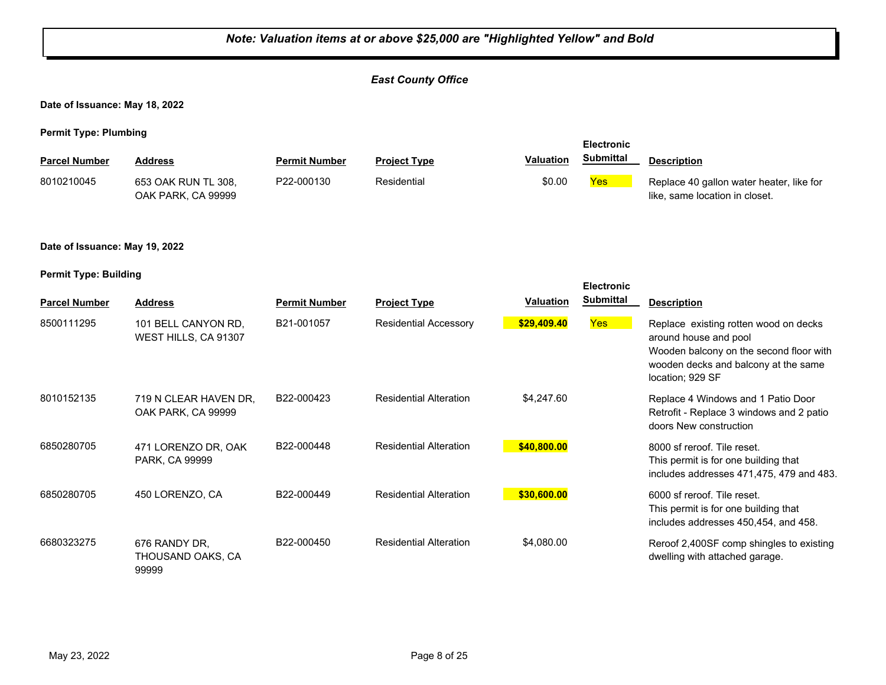|                                                   | Note: Valuation items at or above \$25,000 are "Highlighted Yellow" and Bold |                      |                               |                  |                   |                                                                                                                                                                       |  |  |
|---------------------------------------------------|------------------------------------------------------------------------------|----------------------|-------------------------------|------------------|-------------------|-----------------------------------------------------------------------------------------------------------------------------------------------------------------------|--|--|
| <b>East County Office</b>                         |                                                                              |                      |                               |                  |                   |                                                                                                                                                                       |  |  |
| Date of Issuance: May 18, 2022                    |                                                                              |                      |                               |                  |                   |                                                                                                                                                                       |  |  |
| <b>Permit Type: Plumbing</b>                      |                                                                              |                      |                               |                  | <b>Electronic</b> |                                                                                                                                                                       |  |  |
| <b>Parcel Number</b>                              | <b>Address</b>                                                               | <b>Permit Number</b> | <b>Project Type</b>           | Valuation        | <b>Submittal</b>  | <b>Description</b>                                                                                                                                                    |  |  |
| 8010210045                                        | 653 OAK RUN TL 308.<br>OAK PARK, CA 99999                                    | P22-000130           | Residential                   | \$0.00           | Yes               | Replace 40 gallon water heater, like for<br>like, same location in closet.                                                                                            |  |  |
| Date of Issuance: May 19, 2022                    |                                                                              |                      |                               |                  |                   |                                                                                                                                                                       |  |  |
| <b>Permit Type: Building</b><br><b>Electronic</b> |                                                                              |                      |                               |                  |                   |                                                                                                                                                                       |  |  |
| <b>Parcel Number</b>                              | <b>Address</b>                                                               | <b>Permit Number</b> | <b>Project Type</b>           | <b>Valuation</b> | <b>Submittal</b>  | <b>Description</b>                                                                                                                                                    |  |  |
| 8500111295                                        | 101 BELL CANYON RD,<br>WEST HILLS, CA 91307                                  | B21-001057           | <b>Residential Accessory</b>  | \$29,409.40      | <b>Yes</b>        | Replace existing rotten wood on decks<br>around house and pool<br>Wooden balcony on the second floor with<br>wooden decks and balcony at the same<br>location; 929 SF |  |  |
| 8010152135                                        | 719 N CLEAR HAVEN DR,<br>OAK PARK, CA 99999                                  | B22-000423           | <b>Residential Alteration</b> | \$4,247.60       |                   | Replace 4 Windows and 1 Patio Door<br>Retrofit - Replace 3 windows and 2 patio<br>doors New construction                                                              |  |  |
| 6850280705                                        | 471 LORENZO DR, OAK<br>PARK, CA 99999                                        | B22-000448           | <b>Residential Alteration</b> | \$40,800.00      |                   | 8000 sf reroof. Tile reset.<br>This permit is for one building that<br>includes addresses 471,475, 479 and 483.                                                       |  |  |
| 6850280705                                        | 450 LORENZO, CA                                                              | B22-000449           | <b>Residential Alteration</b> | \$30,600.00      |                   | 6000 sf reroof. Tile reset.<br>This permit is for one building that<br>includes addresses 450,454, and 458.                                                           |  |  |
| 6680323275                                        | 676 RANDY DR,<br>THOUSAND OAKS, CA<br>99999                                  | B22-000450           | <b>Residential Alteration</b> | \$4,080.00       |                   | Reroof 2,400SF comp shingles to existing<br>dwelling with attached garage.                                                                                            |  |  |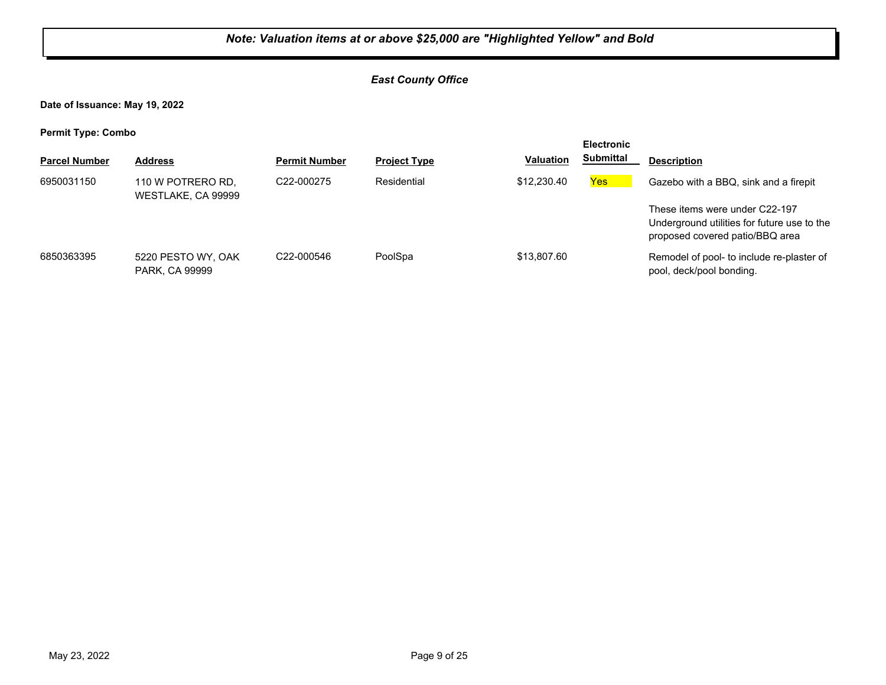#### *East County Office*

**Date of Issuance: May 19, 2022**

| . .                  |                                         |                         |                     |                  | <b>Electronic</b> |                                                                                                                  |
|----------------------|-----------------------------------------|-------------------------|---------------------|------------------|-------------------|------------------------------------------------------------------------------------------------------------------|
| <b>Parcel Number</b> | <b>Address</b>                          | <b>Permit Number</b>    | <b>Project Type</b> | <b>Valuation</b> | <b>Submittal</b>  | <b>Description</b>                                                                                               |
| 6950031150           | 110 W POTRERO RD.<br>WESTLAKE, CA 99999 | C <sub>22</sub> -000275 | Residential         | \$12,230.40      | <b>Yes</b>        | Gazebo with a BBQ, sink and a firepit                                                                            |
|                      |                                         |                         |                     |                  |                   | These items were under C22-197<br>Underground utilities for future use to the<br>proposed covered patio/BBQ area |
| 6850363395           | 5220 PESTO WY, OAK<br>PARK, CA 99999    | C22-000546              | PoolSpa             | \$13,807.60      |                   | Remodel of pool- to include re-plaster of<br>pool, deck/pool bonding.                                            |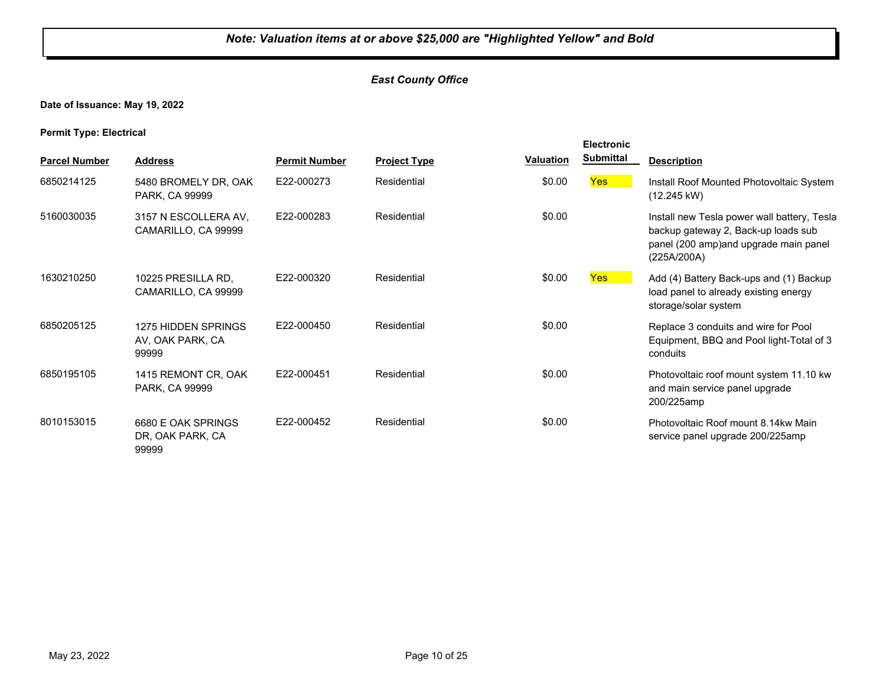#### *East County Office*

**Date of Issuance: May 19, 2022**

**Permit Type: Electrical**

|                      |                                                  |                      |                     |                  | <b>Electronic</b> |                                                                                                                                            |
|----------------------|--------------------------------------------------|----------------------|---------------------|------------------|-------------------|--------------------------------------------------------------------------------------------------------------------------------------------|
| <b>Parcel Number</b> | <b>Address</b>                                   | <b>Permit Number</b> | <b>Project Type</b> | <b>Valuation</b> | <b>Submittal</b>  | <b>Description</b>                                                                                                                         |
| 6850214125           | 5480 BROMELY DR, OAK<br>PARK, CA 99999           | E22-000273           | Residential         | \$0.00           | <b>Yes</b>        | Install Roof Mounted Photovoltaic System<br>$(12.245 \text{ kW})$                                                                          |
| 5160030035           | 3157 N ESCOLLERA AV.<br>CAMARILLO, CA 99999      | E22-000283           | Residential         | \$0.00           |                   | Install new Tesla power wall battery, Tesla<br>backup gateway 2, Back-up loads sub<br>panel (200 amp)and upgrade main panel<br>(225A/200A) |
| 1630210250           | 10225 PRESILLA RD.<br>CAMARILLO, CA 99999        | E22-000320           | Residential         | \$0.00           | <b>Yes</b>        | Add (4) Battery Back-ups and (1) Backup<br>load panel to already existing energy<br>storage/solar system                                   |
| 6850205125           | 1275 HIDDEN SPRINGS<br>AV, OAK PARK, CA<br>99999 | F22-000450           | Residential         | \$0.00           |                   | Replace 3 conduits and wire for Pool<br>Equipment, BBQ and Pool light-Total of 3<br>conduits                                               |
| 6850195105           | 1415 REMONT CR, OAK<br>PARK, CA 99999            | E22-000451           | Residential         | \$0.00           |                   | Photovoltaic roof mount system 11.10 kw<br>and main service panel upgrade<br>200/225amp                                                    |
| 8010153015           | 6680 E OAK SPRINGS<br>DR, OAK PARK, CA<br>99999  | E22-000452           | Residential         | \$0.00           |                   | Photovoltaic Roof mount 8.14kw Main<br>service panel upgrade 200/225amp                                                                    |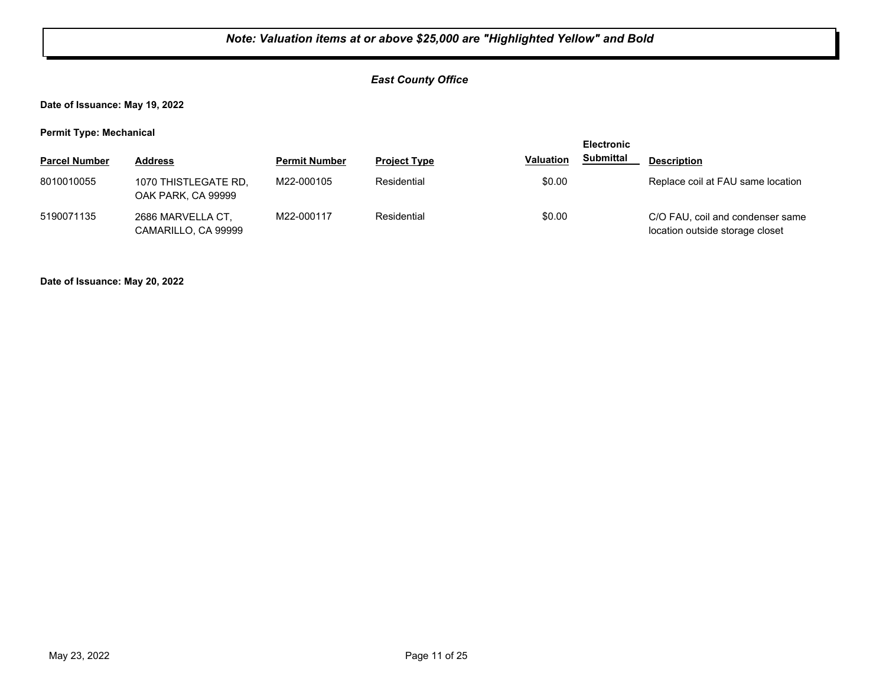#### *East County Office*

**Date of Issuance: May 19, 2022**

**Permit Type: Mechanical**

|                      |                                            |                      |                     |                  | <b>Electronic</b> |                                                                     |
|----------------------|--------------------------------------------|----------------------|---------------------|------------------|-------------------|---------------------------------------------------------------------|
| <b>Parcel Number</b> | <b>Address</b>                             | <b>Permit Number</b> | <b>Project Type</b> | <b>Valuation</b> | <b>Submittal</b>  | <b>Description</b>                                                  |
| 8010010055           | 1070 THISTLEGATE RD.<br>OAK PARK, CA 99999 | M22-000105           | Residential         | \$0.00           |                   | Replace coil at FAU same location                                   |
| 5190071135           | 2686 MARVELLA CT,<br>CAMARILLO, CA 99999   | M22-000117           | Residential         | \$0.00           |                   | C/O FAU, coil and condenser same<br>location outside storage closet |

**Date of Issuance: May 20, 2022**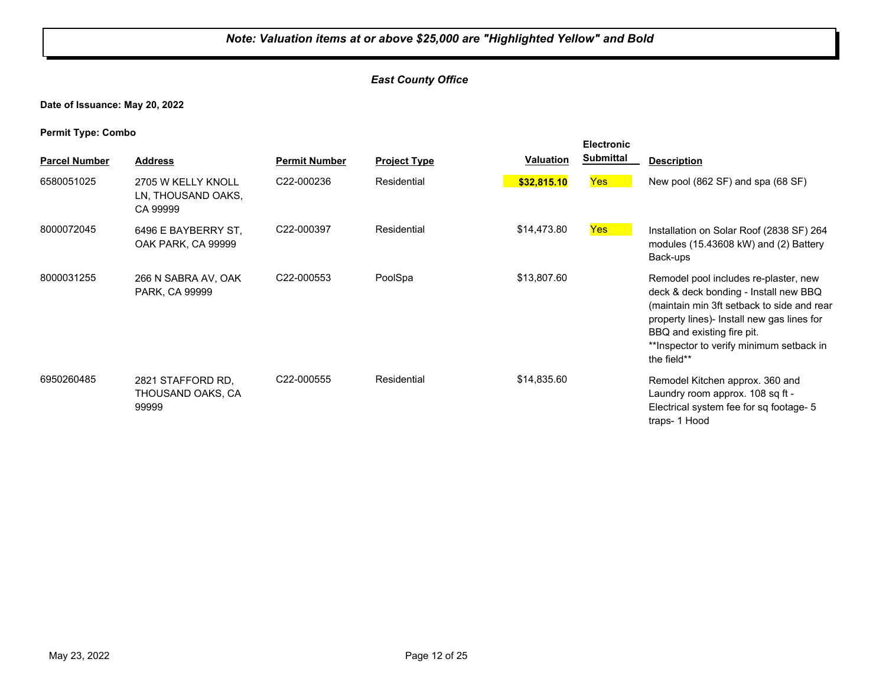#### *East County Office*

**Date of Issuance: May 20, 2022**

| . .                  |                                                      |                      |                     |                  | <b>Electronic</b> |                                                                                                                                                                                                                                                                      |
|----------------------|------------------------------------------------------|----------------------|---------------------|------------------|-------------------|----------------------------------------------------------------------------------------------------------------------------------------------------------------------------------------------------------------------------------------------------------------------|
| <b>Parcel Number</b> | <b>Address</b>                                       | <b>Permit Number</b> | <b>Project Type</b> | <b>Valuation</b> | <b>Submittal</b>  | <b>Description</b>                                                                                                                                                                                                                                                   |
| 6580051025           | 2705 W KELLY KNOLL<br>LN, THOUSAND OAKS,<br>CA 99999 | C22-000236           | Residential         | \$32,815.10      | <b>Yes</b>        | New pool (862 SF) and spa (68 SF)                                                                                                                                                                                                                                    |
| 8000072045           | 6496 E BAYBERRY ST.<br>OAK PARK, CA 99999            | C22-000397           | Residential         | \$14,473.80      | <b>Yes</b>        | Installation on Solar Roof (2838 SF) 264<br>modules (15.43608 kW) and (2) Battery<br>Back-ups                                                                                                                                                                        |
| 8000031255           | 266 N SABRA AV, OAK<br>PARK, CA 99999                | C22-000553           | PoolSpa             | \$13,807.60      |                   | Remodel pool includes re-plaster, new<br>deck & deck bonding - Install new BBQ<br>(maintain min 3ft setback to side and rear<br>property lines)- Install new gas lines for<br>BBQ and existing fire pit.<br>** Inspector to verify minimum setback in<br>the field** |
| 6950260485           | 2821 STAFFORD RD,<br>THOUSAND OAKS, CA<br>99999      | C22-000555           | Residential         | \$14,835.60      |                   | Remodel Kitchen approx. 360 and<br>Laundry room approx. 108 sq ft -<br>Electrical system fee for sq footage- 5<br>traps-1 Hood                                                                                                                                       |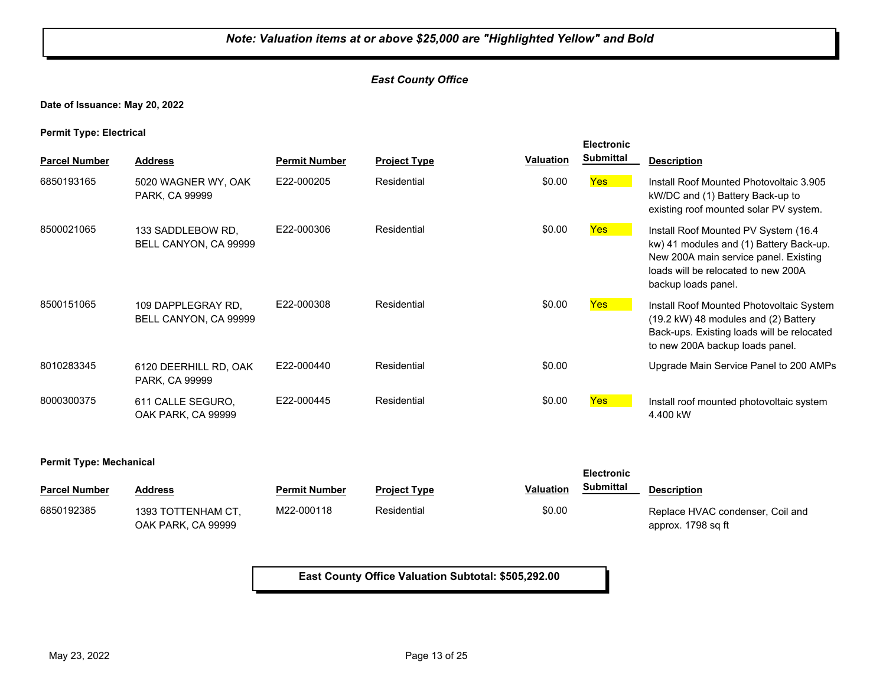#### *East County Office*

**Date of Issuance: May 20, 2022**

**Permit Type: Electrical**

|                      |                                             |                      |                     |                  | <b>Electronic</b> |                                                                                                                                                                                         |
|----------------------|---------------------------------------------|----------------------|---------------------|------------------|-------------------|-----------------------------------------------------------------------------------------------------------------------------------------------------------------------------------------|
| <b>Parcel Number</b> | <b>Address</b>                              | <b>Permit Number</b> | <b>Project Type</b> | <b>Valuation</b> | <b>Submittal</b>  | <b>Description</b>                                                                                                                                                                      |
| 6850193165           | 5020 WAGNER WY, OAK<br>PARK, CA 99999       | E22-000205           | Residential         | \$0.00           | Yes               | Install Roof Mounted Photovoltaic 3.905<br>kW/DC and (1) Battery Back-up to<br>existing roof mounted solar PV system.                                                                   |
| 8500021065           | 133 SADDLEBOW RD.<br>BELL CANYON, CA 99999  | E22-000306           | Residential         | \$0.00           | <b>Yes</b>        | Install Roof Mounted PV System (16.4)<br>kw) 41 modules and (1) Battery Back-up.<br>New 200A main service panel. Existing<br>loads will be relocated to new 200A<br>backup loads panel. |
| 8500151065           | 109 DAPPLEGRAY RD,<br>BELL CANYON, CA 99999 | E22-000308           | Residential         | \$0.00           | <b>Yes</b>        | Install Roof Mounted Photovoltaic System<br>(19.2 kW) 48 modules and (2) Battery<br>Back-ups. Existing loads will be relocated<br>to new 200A backup loads panel.                       |
| 8010283345           | 6120 DEERHILL RD, OAK<br>PARK, CA 99999     | E22-000440           | Residential         | \$0.00           |                   | Upgrade Main Service Panel to 200 AMPs                                                                                                                                                  |
| 8000300375           | 611 CALLE SEGURO.<br>OAK PARK, CA 99999     | E22-000445           | Residential         | \$0.00           | Yes               | Install roof mounted photovoltaic system<br>4.400 kW                                                                                                                                    |

#### **Permit Type: Mechanical**

| <b>Parcel Number</b> | <b>Address</b>     | <b>Permit Number</b> | <b>Project Type</b> | <b>Valuation</b> | Submittal | <b>Description</b>               |
|----------------------|--------------------|----------------------|---------------------|------------------|-----------|----------------------------------|
| 6850192385           | 1393 TOTTENHAM CT. | M22-000118           | Residential         | \$0.00           |           | Replace HVAC condenser, Coil and |
|                      | OAK PARK. CA 99999 |                      |                     |                  |           | approx. 1798 sq ft               |

**Electronic** 

**East County Office Valuation Subtotal: \$505,292.00**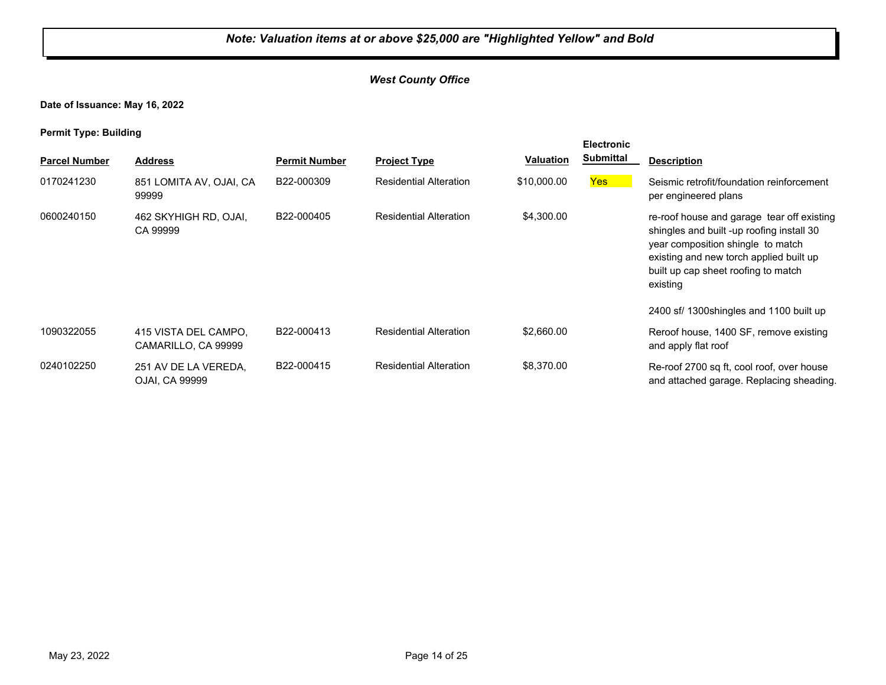#### *West County Office*

**Date of Issuance: May 16, 2022**

| . .                  |                                             |                      |                               |                  | <b>Electronic</b> |                                                                                                                                                                                                                            |
|----------------------|---------------------------------------------|----------------------|-------------------------------|------------------|-------------------|----------------------------------------------------------------------------------------------------------------------------------------------------------------------------------------------------------------------------|
| <b>Parcel Number</b> | <b>Address</b>                              | <b>Permit Number</b> | <b>Project Type</b>           | <b>Valuation</b> | <b>Submittal</b>  | <b>Description</b>                                                                                                                                                                                                         |
| 0170241230           | 851 LOMITA AV, OJAI, CA<br>99999            | B22-000309           | <b>Residential Alteration</b> | \$10,000.00      | <b>Yes</b>        | Seismic retrofit/foundation reinforcement<br>per engineered plans                                                                                                                                                          |
| 0600240150           | 462 SKYHIGH RD, OJAI,<br>CA 99999           | B22-000405           | <b>Residential Alteration</b> | \$4,300.00       |                   | re-roof house and garage tear off existing<br>shingles and built -up roofing install 30<br>year composition shingle to match<br>existing and new torch applied built up<br>built up cap sheet roofing to match<br>existing |
|                      |                                             |                      |                               |                  |                   | 2400 sf/ 1300 shingles and 1100 built up                                                                                                                                                                                   |
| 1090322055           | 415 VISTA DEL CAMPO.<br>CAMARILLO, CA 99999 | B22-000413           | <b>Residential Alteration</b> | \$2,660.00       |                   | Reroof house, 1400 SF, remove existing<br>and apply flat roof                                                                                                                                                              |
| 0240102250           | 251 AV DE LA VEREDA,<br>OJAI, CA 99999      | B22-000415           | <b>Residential Alteration</b> | \$8,370.00       |                   | Re-roof 2700 sq ft, cool roof, over house<br>and attached garage. Replacing sheading.                                                                                                                                      |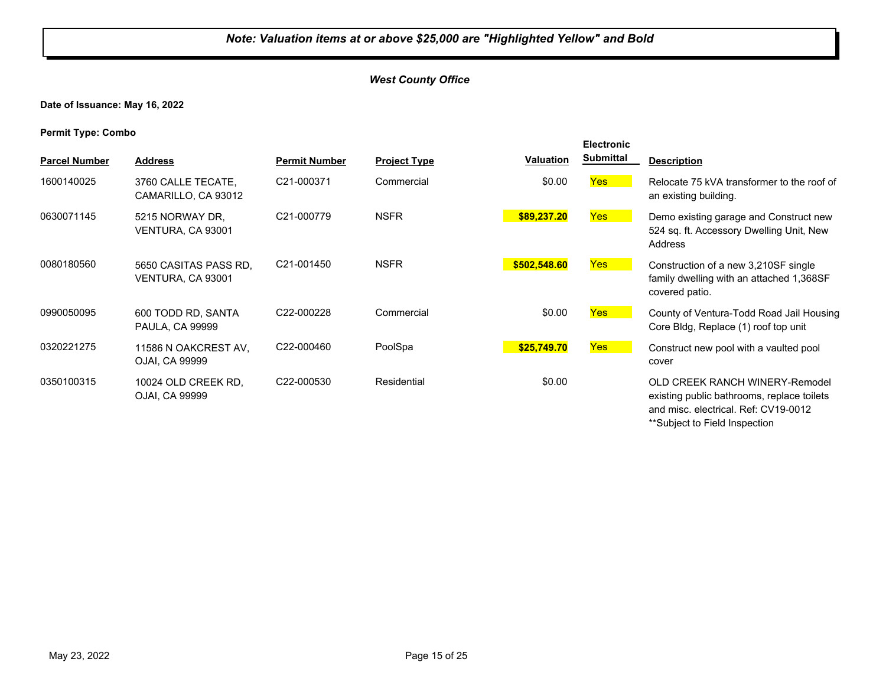#### *West County Office*

**Date of Issuance: May 16, 2022**

| <b>Parcel Number</b> | <b>Address</b>                               | <b>Permit Number</b>    | <b>Project Type</b> | Valuation    | <b>Electronic</b><br><b>Submittal</b> | <b>Description</b>                                                                                                                                           |
|----------------------|----------------------------------------------|-------------------------|---------------------|--------------|---------------------------------------|--------------------------------------------------------------------------------------------------------------------------------------------------------------|
|                      |                                              |                         |                     |              |                                       |                                                                                                                                                              |
| 1600140025           | 3760 CALLE TECATE,<br>CAMARILLO, CA 93012    | C21-000371              | Commercial          | \$0.00       | Yes                                   | Relocate 75 kVA transformer to the roof of<br>an existing building.                                                                                          |
| 0630071145           | 5215 NORWAY DR.<br>VENTURA, CA 93001         | C21-000779              | <b>NSFR</b>         | \$89,237.20  | Yes                                   | Demo existing garage and Construct new<br>524 sq. ft. Accessory Dwelling Unit, New<br>Address                                                                |
| 0080180560           | 5650 CASITAS PASS RD.<br>VENTURA, CA 93001   | C21-001450              | <b>NSFR</b>         | \$502,548.60 | Yes                                   | Construction of a new 3,210SF single<br>family dwelling with an attached 1,368SF<br>covered patio.                                                           |
| 0990050095           | 600 TODD RD, SANTA<br><b>PAULA, CA 99999</b> | C22-000228              | Commercial          | \$0.00       | <b>Yes</b>                            | County of Ventura-Todd Road Jail Housing<br>Core Bldg, Replace (1) roof top unit                                                                             |
| 0320221275           | 11586 N OAKCREST AV.<br>OJAI, CA 99999       | C22-000460              | PoolSpa             | \$25,749.70  | Yes                                   | Construct new pool with a vaulted pool<br>cover                                                                                                              |
| 0350100315           | 10024 OLD CREEK RD,<br>OJAI, CA 99999        | C <sub>22</sub> -000530 | Residential         | \$0.00       |                                       | <b>OLD CREEK RANCH WINERY-Remodel</b><br>existing public bathrooms, replace toilets<br>and misc. electrical. Ref: CV19-0012<br>**Subject to Field Inspection |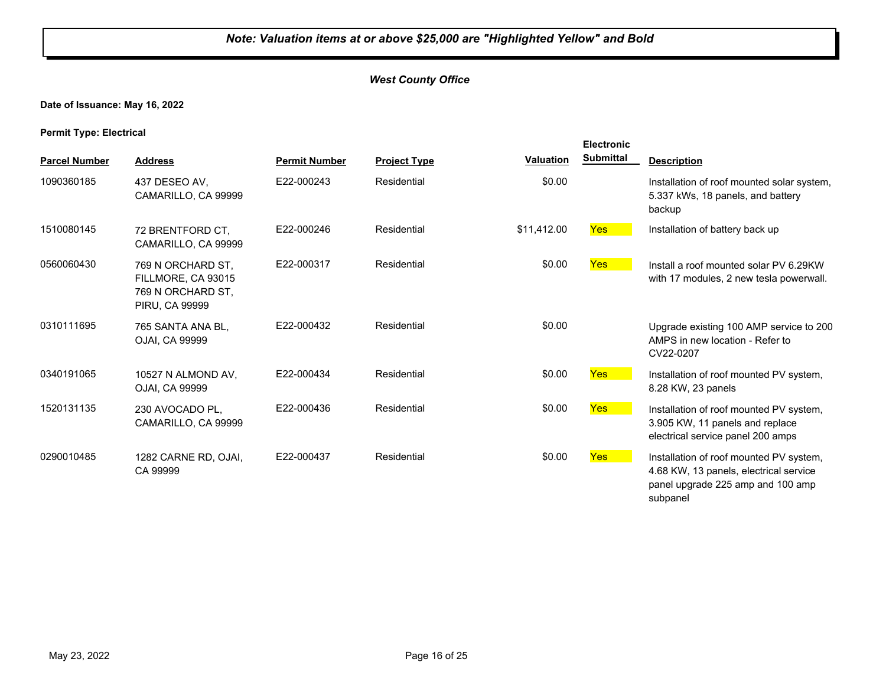#### **Date of Issuance: May 16, 2022**

#### **Permit Type: Electrical**

|                      |                                                                                       |                      |                     |             | <b>Electronic</b> |                                                                                                                                    |
|----------------------|---------------------------------------------------------------------------------------|----------------------|---------------------|-------------|-------------------|------------------------------------------------------------------------------------------------------------------------------------|
| <b>Parcel Number</b> | <b>Address</b>                                                                        | <b>Permit Number</b> | <b>Project Type</b> | Valuation   | <b>Submittal</b>  | <b>Description</b>                                                                                                                 |
| 1090360185           | 437 DESEO AV.<br>CAMARILLO, CA 99999                                                  | E22-000243           | Residential         | \$0.00      |                   | Installation of roof mounted solar system,<br>5.337 kWs, 18 panels, and battery<br>backup                                          |
| 1510080145           | 72 BRENTFORD CT.<br>CAMARILLO, CA 99999                                               | E22-000246           | Residential         | \$11,412.00 | <b>Yes</b>        | Installation of battery back up                                                                                                    |
| 0560060430           | 769 N ORCHARD ST,<br>FILLMORE, CA 93015<br>769 N ORCHARD ST,<br><b>PIRU. CA 99999</b> | E22-000317           | Residential         | \$0.00      | <b>Yes</b>        | Install a roof mounted solar PV 6.29KW<br>with 17 modules, 2 new tesla powerwall.                                                  |
| 0310111695           | 765 SANTA ANA BL.<br>OJAI, CA 99999                                                   | E22-000432           | Residential         | \$0.00      |                   | Upgrade existing 100 AMP service to 200<br>AMPS in new location - Refer to<br>CV22-0207                                            |
| 0340191065           | 10527 N ALMOND AV,<br>OJAI, CA 99999                                                  | E22-000434           | Residential         | \$0.00      | <b>Yes</b>        | Installation of roof mounted PV system,<br>8.28 KW, 23 panels                                                                      |
| 1520131135           | 230 AVOCADO PL,<br>CAMARILLO, CA 99999                                                | E22-000436           | Residential         | \$0.00      | <b>Yes</b>        | Installation of roof mounted PV system,<br>3.905 KW, 11 panels and replace<br>electrical service panel 200 amps                    |
| 0290010485           | 1282 CARNE RD, OJAI,<br>CA 99999                                                      | E22-000437           | Residential         | \$0.00      | Yes               | Installation of roof mounted PV system,<br>4.68 KW, 13 panels, electrical service<br>panel upgrade 225 amp and 100 amp<br>subpanel |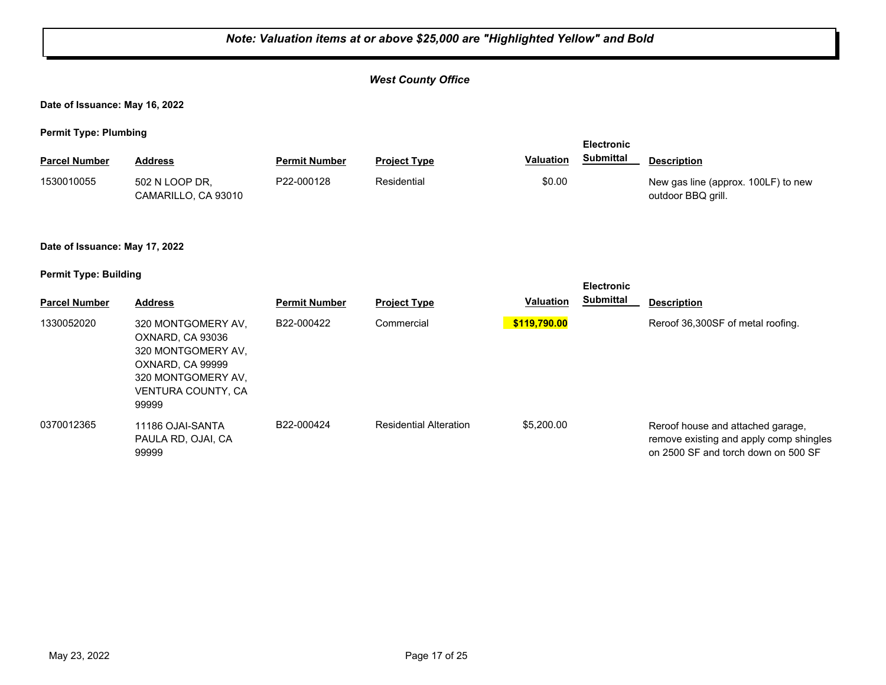|                                | Note: Valuation items at or above \$25,000 are "Highlighted Yellow" and Bold                                                          |                      |                               |                  |                                       |                                                                                                                     |  |  |
|--------------------------------|---------------------------------------------------------------------------------------------------------------------------------------|----------------------|-------------------------------|------------------|---------------------------------------|---------------------------------------------------------------------------------------------------------------------|--|--|
|                                |                                                                                                                                       |                      | <b>West County Office</b>     |                  |                                       |                                                                                                                     |  |  |
| Date of Issuance: May 16, 2022 |                                                                                                                                       |                      |                               |                  |                                       |                                                                                                                     |  |  |
| <b>Permit Type: Plumbing</b>   |                                                                                                                                       |                      |                               |                  |                                       |                                                                                                                     |  |  |
| <b>Parcel Number</b>           | <b>Address</b>                                                                                                                        | <b>Permit Number</b> | <b>Project Type</b>           | <b>Valuation</b> | <b>Electronic</b><br><b>Submittal</b> | <b>Description</b>                                                                                                  |  |  |
| 1530010055                     | 502 N LOOP DR,<br>CAMARILLO, CA 93010                                                                                                 | P22-000128           | Residential                   | \$0.00           |                                       | New gas line (approx. 100LF) to new<br>outdoor BBQ grill.                                                           |  |  |
| Date of Issuance: May 17, 2022 |                                                                                                                                       |                      |                               |                  |                                       |                                                                                                                     |  |  |
| <b>Permit Type: Building</b>   |                                                                                                                                       |                      |                               |                  | <b>Electronic</b>                     |                                                                                                                     |  |  |
| <b>Parcel Number</b>           | <b>Address</b>                                                                                                                        | <b>Permit Number</b> | <b>Project Type</b>           | <b>Valuation</b> | <b>Submittal</b>                      | <b>Description</b>                                                                                                  |  |  |
| 1330052020                     | 320 MONTGOMERY AV,<br>OXNARD, CA 93036<br>320 MONTGOMERY AV,<br>OXNARD, CA 99999<br>320 MONTGOMERY AV,<br>VENTURA COUNTY, CA<br>99999 | B22-000422           | Commercial                    | \$119,790.00     |                                       | Reroof 36,300SF of metal roofing.                                                                                   |  |  |
| 0370012365                     | 11186 OJAI-SANTA<br>PAULA RD, OJAI, CA<br>99999                                                                                       | B22-000424           | <b>Residential Alteration</b> | \$5,200.00       |                                       | Reroof house and attached garage,<br>remove existing and apply comp shingles<br>on 2500 SF and torch down on 500 SF |  |  |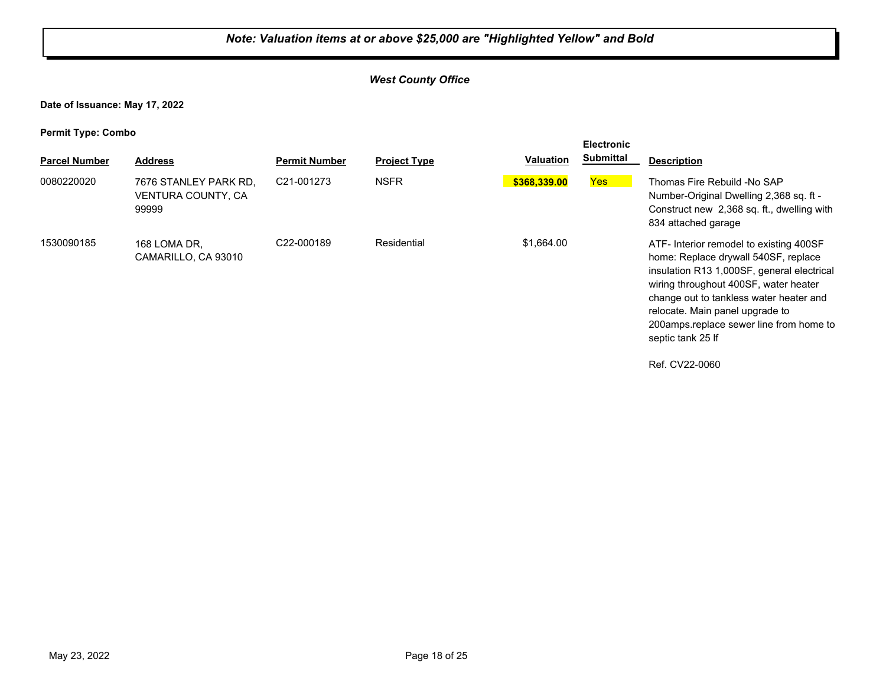#### *West County Office*

**Date of Issuance: May 17, 2022**

| . .<br><b>Parcel Number</b> | <b>Address</b>                                       | <b>Permit Number</b>    | <b>Project Type</b> | Valuation    | <b>Electronic</b><br><b>Submittal</b> | <b>Description</b>                                                                                                                                                                                                                                                                                                   |
|-----------------------------|------------------------------------------------------|-------------------------|---------------------|--------------|---------------------------------------|----------------------------------------------------------------------------------------------------------------------------------------------------------------------------------------------------------------------------------------------------------------------------------------------------------------------|
| 0080220020                  | 7676 STANLEY PARK RD,<br>VENTURA COUNTY, CA<br>99999 | C <sub>21</sub> -001273 | <b>NSFR</b>         | \$368,339.00 | Yes                                   | Thomas Fire Rebuild -No SAP<br>Number-Original Dwelling 2,368 sq. ft -<br>Construct new 2,368 sq. ft., dwelling with<br>834 attached garage                                                                                                                                                                          |
| 1530090185                  | 168 LOMA DR.<br>CAMARILLO, CA 93010                  | C22-000189              | Residential         | \$1,664.00   |                                       | ATF- Interior remodel to existing 400SF<br>home: Replace drywall 540SF, replace<br>insulation R13 1,000SF, general electrical<br>wiring throughout 400SF, water heater<br>change out to tankless water heater and<br>relocate. Main panel upgrade to<br>200amps.replace sewer line from home to<br>septic tank 25 If |
|                             |                                                      |                         |                     |              |                                       | Ref. CV22-0060                                                                                                                                                                                                                                                                                                       |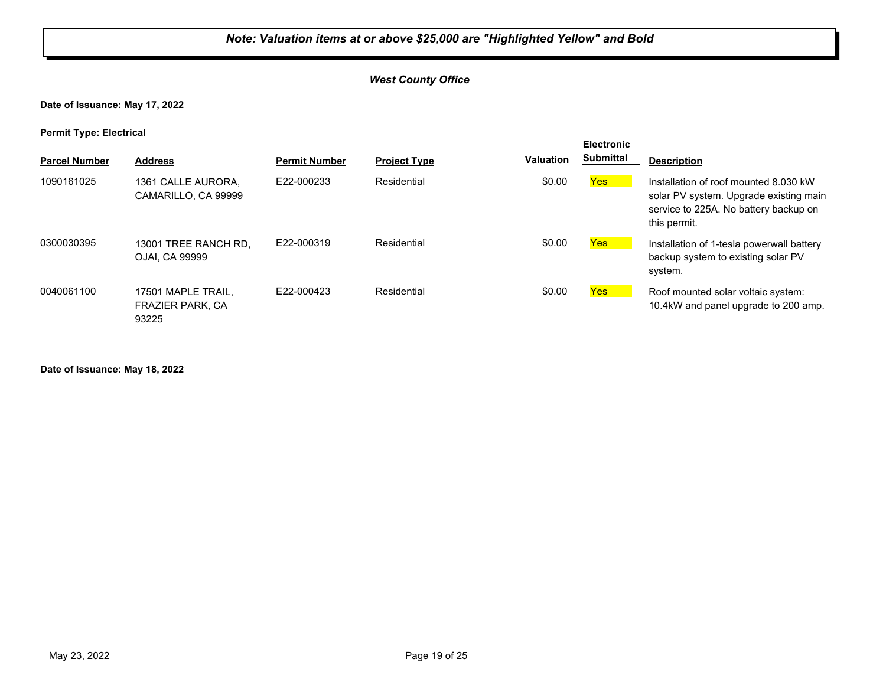#### *West County Office*

**Date of Issuance: May 17, 2022**

**Permit Type: Electrical**

| . .                  |                                                        |                      |                     |                  | <b>Electronic</b> |                                                                                                                                          |
|----------------------|--------------------------------------------------------|----------------------|---------------------|------------------|-------------------|------------------------------------------------------------------------------------------------------------------------------------------|
| <b>Parcel Number</b> | <b>Address</b>                                         | <b>Permit Number</b> | <b>Project Type</b> | <b>Valuation</b> | <b>Submittal</b>  | <b>Description</b>                                                                                                                       |
| 1090161025           | 1361 CALLE AURORA.<br>CAMARILLO, CA 99999              | E22-000233           | Residential         | \$0.00           | <b>Yes</b>        | Installation of roof mounted 8,030 kW<br>solar PV system. Upgrade existing main<br>service to 225A. No battery backup on<br>this permit. |
| 0300030395           | 13001 TREE RANCH RD.<br><b>OJAI. CA 99999</b>          | F22-000319           | Residential         | \$0.00           | <u>Yes</u>        | Installation of 1-tesla powerwall battery<br>backup system to existing solar PV<br>system.                                               |
| 0040061100           | 17501 MAPLE TRAIL.<br><b>FRAZIER PARK, CA</b><br>93225 | E22-000423           | Residential         | \$0.00           | <b>Yes</b>        | Roof mounted solar voltaic system:<br>10.4kW and panel upgrade to 200 amp.                                                               |

**Date of Issuance: May 18, 2022**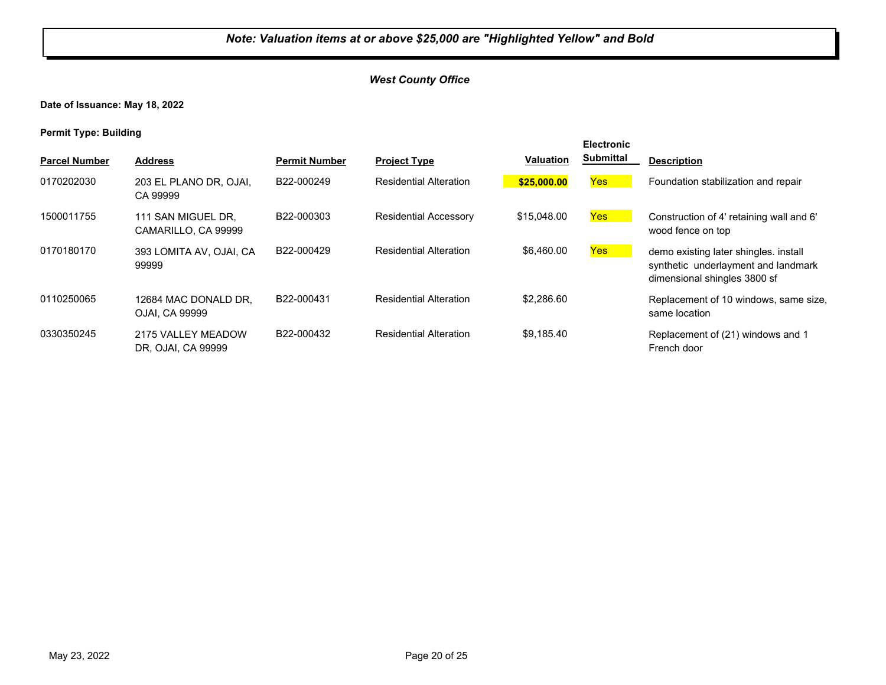**Date of Issuance: May 18, 2022**

| <b>Parcel Number</b> | <b>Address</b>                            | <b>Permit Number</b> | <b>Project Type</b>           | <b>Valuation</b> | <b>Electronic</b><br><b>Submittal</b> | <b>Description</b>                                                                                           |
|----------------------|-------------------------------------------|----------------------|-------------------------------|------------------|---------------------------------------|--------------------------------------------------------------------------------------------------------------|
| 0170202030           | 203 EL PLANO DR, OJAI,<br>CA 99999        | B22-000249           | <b>Residential Alteration</b> | \$25,000.00      | Yes                                   | Foundation stabilization and repair                                                                          |
| 1500011755           | 111 SAN MIGUEL DR.<br>CAMARILLO, CA 99999 | B22-000303           | <b>Residential Accessory</b>  | \$15,048,00      | Yes                                   | Construction of 4' retaining wall and 6'<br>wood fence on top                                                |
| 0170180170           | 393 LOMITA AV, OJAI, CA<br>99999          | B22-000429           | <b>Residential Alteration</b> | \$6,460.00       | Yes                                   | demo existing later shingles. install<br>synthetic underlayment and landmark<br>dimensional shingles 3800 sf |
| 0110250065           | 12684 MAC DONALD DR.<br>OJAI, CA 99999    | B22-000431           | <b>Residential Alteration</b> | \$2,286.60       |                                       | Replacement of 10 windows, same size,<br>same location                                                       |
| 0330350245           | 2175 VALLEY MEADOW<br>DR, OJAI, CA 99999  | B22-000432           | <b>Residential Alteration</b> | \$9,185.40       |                                       | Replacement of (21) windows and 1<br>French door                                                             |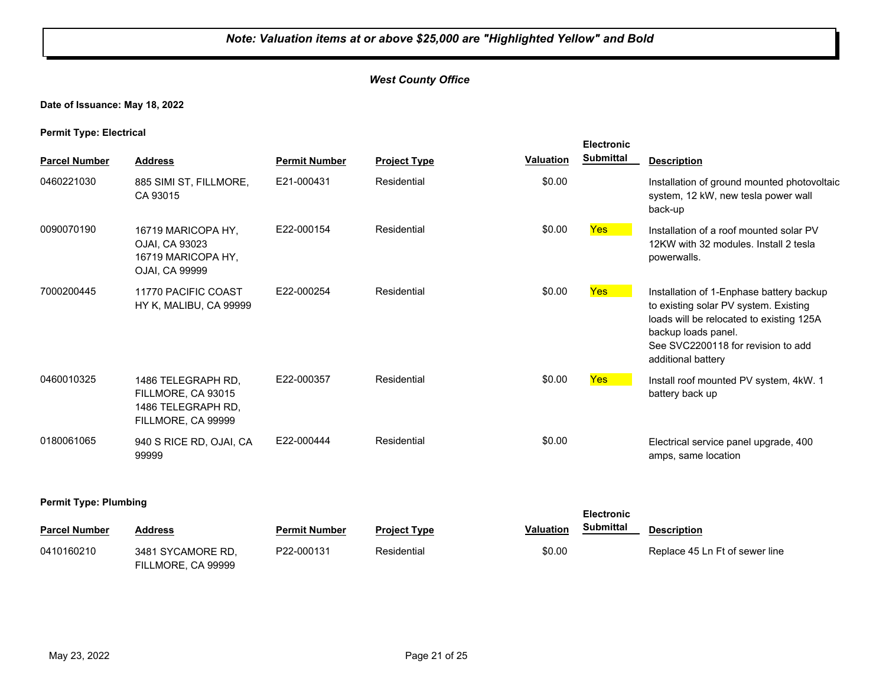**Date of Issuance: May 18, 2022**

**Permit Type: Electrical**

|                              |                                                                                      |                      |                     |                  | <b>Electronic</b> |                                                                                                                                                                                                                  |
|------------------------------|--------------------------------------------------------------------------------------|----------------------|---------------------|------------------|-------------------|------------------------------------------------------------------------------------------------------------------------------------------------------------------------------------------------------------------|
| <b>Parcel Number</b>         | <b>Address</b>                                                                       | <b>Permit Number</b> | <b>Project Type</b> | <b>Valuation</b> | <b>Submittal</b>  | <b>Description</b>                                                                                                                                                                                               |
| 0460221030                   | 885 SIMI ST, FILLMORE,<br>CA 93015                                                   | E21-000431           | Residential         | \$0.00           |                   | Installation of ground mounted photovoltaic<br>system, 12 kW, new tesla power wall<br>back-up                                                                                                                    |
| 0090070190                   | 16719 MARICOPA HY.<br>OJAI, CA 93023<br>16719 MARICOPA HY.<br>OJAI, CA 99999         | E22-000154           | Residential         | \$0.00           | <b>Yes</b>        | Installation of a roof mounted solar PV<br>12KW with 32 modules. Install 2 tesla<br>powerwalls.                                                                                                                  |
| 7000200445                   | 11770 PACIFIC COAST<br>HY K, MALIBU, CA 99999                                        | E22-000254           | Residential         | \$0.00           | <b>Yes</b>        | Installation of 1-Enphase battery backup<br>to existing solar PV system. Existing<br>loads will be relocated to existing 125A<br>backup loads panel.<br>See SVC2200118 for revision to add<br>additional battery |
| 0460010325                   | 1486 TELEGRAPH RD,<br>FILLMORE, CA 93015<br>1486 TELEGRAPH RD,<br>FILLMORE, CA 99999 | E22-000357           | Residential         | \$0.00           | Yes <sup>1</sup>  | Install roof mounted PV system, 4kW. 1<br>battery back up                                                                                                                                                        |
| 0180061065                   | 940 S RICE RD, OJAI, CA<br>99999                                                     | E22-000444           | Residential         | \$0.00           |                   | Electrical service panel upgrade, 400<br>amps, same location                                                                                                                                                     |
| <b>Permit Type: Plumbing</b> |                                                                                      |                      |                     |                  |                   |                                                                                                                                                                                                                  |

| <b>Parcel Number</b> | <b>Address</b>     | <b>Permit Number</b> | <b>Project Type</b> | Valuation | Submittal | <b>Description</b>             |
|----------------------|--------------------|----------------------|---------------------|-----------|-----------|--------------------------------|
| 0410160210           | 3481 SYCAMORE RD.  | P22-000131           | Residential         | \$0.00    |           | Replace 45 Ln Ft of sewer line |
|                      | FILLMORE, CA 99999 |                      |                     |           |           |                                |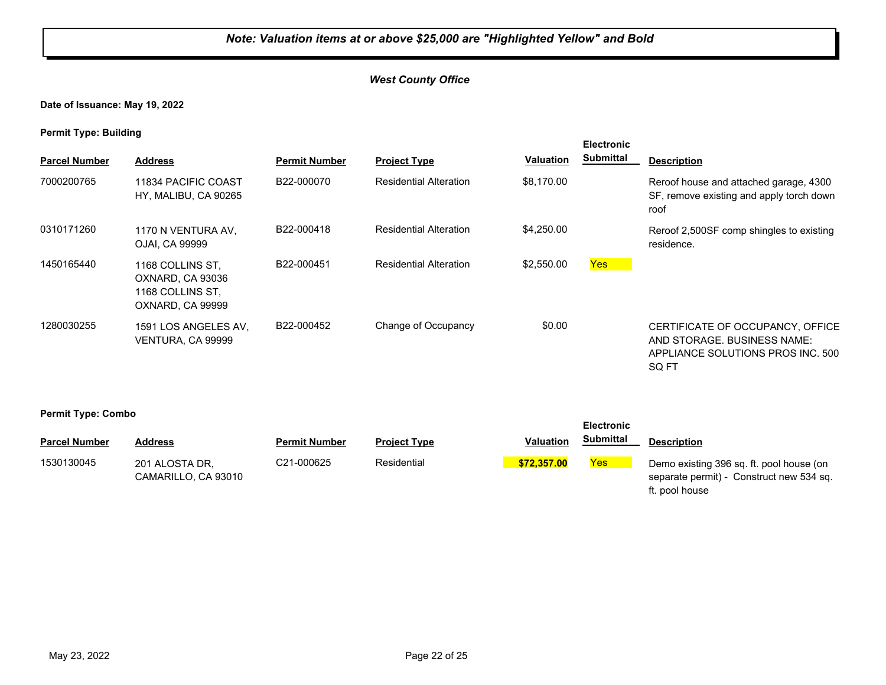**Date of Issuance: May 19, 2022**

**Permit Type: Building**

| . .                  |                                                                              |                         |                               |                  | <b>Electronic</b> |                                                                                                               |
|----------------------|------------------------------------------------------------------------------|-------------------------|-------------------------------|------------------|-------------------|---------------------------------------------------------------------------------------------------------------|
| <b>Parcel Number</b> | <b>Address</b>                                                               | <b>Permit Number</b>    | <b>Project Type</b>           | <b>Valuation</b> | <b>Submittal</b>  | <b>Description</b>                                                                                            |
| 7000200765           | 11834 PACIFIC COAST<br>HY, MALIBU, CA 90265                                  | B22-000070              | <b>Residential Alteration</b> | \$8,170.00       |                   | Reroof house and attached garage, 4300<br>SF, remove existing and apply torch down<br>roof                    |
| 0310171260           | 1170 N VENTURA AV,<br>OJAI, CA 99999                                         | B22-000418              | <b>Residential Alteration</b> | \$4,250.00       |                   | Reroof 2,500SF comp shingles to existing<br>residence.                                                        |
| 1450165440           | 1168 COLLINS ST.<br>OXNARD, CA 93036<br>1168 COLLINS ST.<br>OXNARD, CA 99999 | B22-000451              | <b>Residential Alteration</b> | \$2,550.00       | Yes               |                                                                                                               |
| 1280030255           | 1591 LOS ANGELES AV.<br>VENTURA, CA 99999                                    | B <sub>22</sub> -000452 | Change of Occupancy           | \$0.00           |                   | CERTIFICATE OF OCCUPANCY, OFFICE<br>AND STORAGE. BUSINESS NAME:<br>APPLIANCE SOLUTIONS PROS INC. 500<br>SQ FT |

|                      |                                       |                      |                     |                  | <b>Electronic</b> |                                                                                                        |
|----------------------|---------------------------------------|----------------------|---------------------|------------------|-------------------|--------------------------------------------------------------------------------------------------------|
| <b>Parcel Number</b> | Address                               | <b>Permit Number</b> | <b>Project Type</b> | <b>Valuation</b> | <b>Submittal</b>  | <b>Description</b>                                                                                     |
| 1530130045           | 201 ALOSTA DR.<br>CAMARILLO. CA 93010 | C21-000625           | Residential         | \$72,357.00      | Yes               | Demo existing 396 sq. ft. pool house (on<br>separate permit) - Construct new 534 sq.<br>ft. pool house |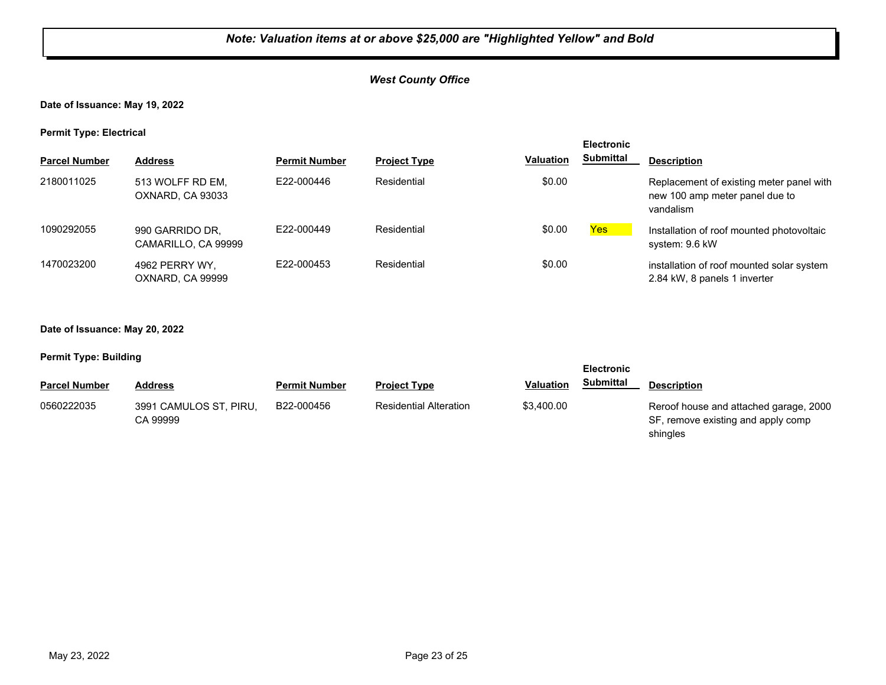**Date of Issuance: May 19, 2022**

**Permit Type: Electrical**

| . .                  |                                        |                      |                     |                  | <b>Electronic</b> |                                                                                         |
|----------------------|----------------------------------------|----------------------|---------------------|------------------|-------------------|-----------------------------------------------------------------------------------------|
| <b>Parcel Number</b> | <b>Address</b>                         | <b>Permit Number</b> | <b>Project Type</b> | <b>Valuation</b> | <b>Submittal</b>  | <b>Description</b>                                                                      |
| 2180011025           | 513 WOLFF RD EM.<br>OXNARD, CA 93033   | E22-000446           | Residential         | \$0.00           |                   | Replacement of existing meter panel with<br>new 100 amp meter panel due to<br>vandalism |
| 1090292055           | 990 GARRIDO DR,<br>CAMARILLO, CA 99999 | E22-000449           | Residential         | \$0.00           | <b>Yes</b>        | Installation of roof mounted photovoltaic<br>system: 9.6 kW                             |
| 1470023200           | 4962 PERRY WY.<br>OXNARD, CA 99999     | E22-000453           | Residential         | \$0.00           |                   | installation of roof mounted solar system<br>2.84 kW, 8 panels 1 inverter               |

**Date of Issuance: May 20, 2022**

| <b>Electronic</b>    |                                    |                      |                               |                  |                  |                                                                                          |
|----------------------|------------------------------------|----------------------|-------------------------------|------------------|------------------|------------------------------------------------------------------------------------------|
| <b>Parcel Number</b> | <b>Address</b>                     | <b>Permit Number</b> | <b>Project Type</b>           | <b>Valuation</b> | <b>Submittal</b> | <b>Description</b>                                                                       |
| 0560222035           | 3991 CAMULOS ST, PIRU,<br>CA 99999 | B22-000456           | <b>Residential Alteration</b> | \$3,400.00       |                  | Reroof house and attached garage, 2000<br>SF, remove existing and apply comp<br>shingles |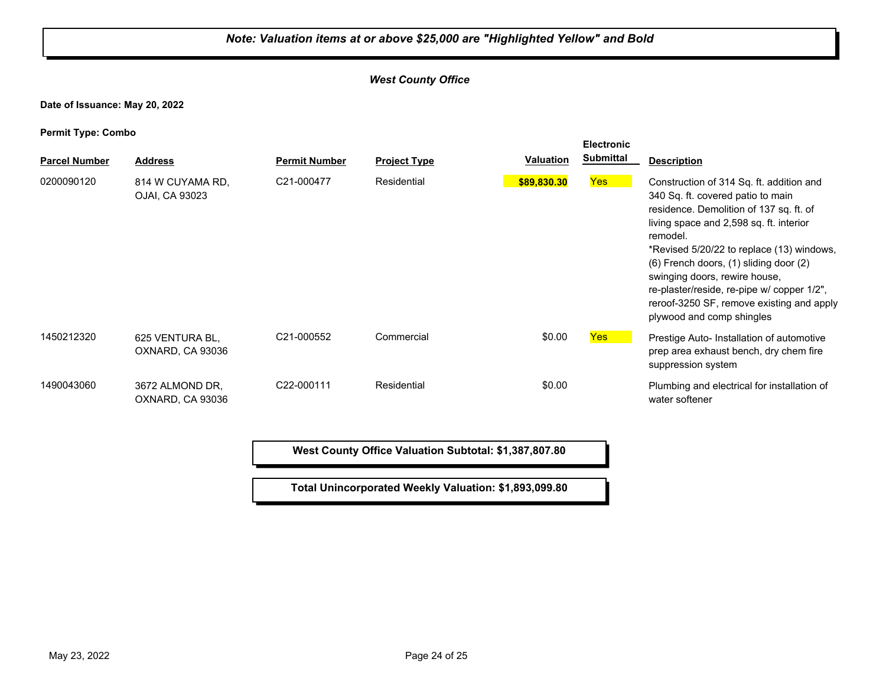#### *West County Office*

**Date of Issuance: May 20, 2022**

**Permit Type: Combo**

| . .<br><b>Parcel Number</b> | <b>Address</b>                      | <b>Permit Number</b> | <b>Project Type</b> | <b>Valuation</b> | <b>Electronic</b><br><b>Submittal</b> | <b>Description</b>                                                                                                                                                                                                                                                                                                                                                                                                              |
|-----------------------------|-------------------------------------|----------------------|---------------------|------------------|---------------------------------------|---------------------------------------------------------------------------------------------------------------------------------------------------------------------------------------------------------------------------------------------------------------------------------------------------------------------------------------------------------------------------------------------------------------------------------|
| 0200090120                  | 814 W CUYAMA RD.<br>OJAI, CA 93023  | C21-000477           | Residential         | \$89,830.30      | Yes                                   | Construction of 314 Sq. ft. addition and<br>340 Sq. ft. covered patio to main<br>residence. Demolition of 137 sq. ft. of<br>living space and 2,598 sq. ft. interior<br>remodel.<br>*Revised 5/20/22 to replace (13) windows,<br>(6) French doors, (1) sliding door (2)<br>swinging doors, rewire house,<br>re-plaster/reside, re-pipe w/ copper 1/2",<br>reroof-3250 SF, remove existing and apply<br>plywood and comp shingles |
| 1450212320                  | 625 VENTURA BL,<br>OXNARD, CA 93036 | C21-000552           | Commercial          | \$0.00           | <b>Yes</b>                            | Prestige Auto- Installation of automotive<br>prep area exhaust bench, dry chem fire<br>suppression system                                                                                                                                                                                                                                                                                                                       |
| 1490043060                  | 3672 ALMOND DR.<br>OXNARD, CA 93036 | C22-000111           | Residential         | \$0.00           |                                       | Plumbing and electrical for installation of<br>water softener                                                                                                                                                                                                                                                                                                                                                                   |

**West County Office Valuation Subtotal: \$1,387,807.80**

**Total Unincorporated Weekly Valuation: \$1,893,099.80**